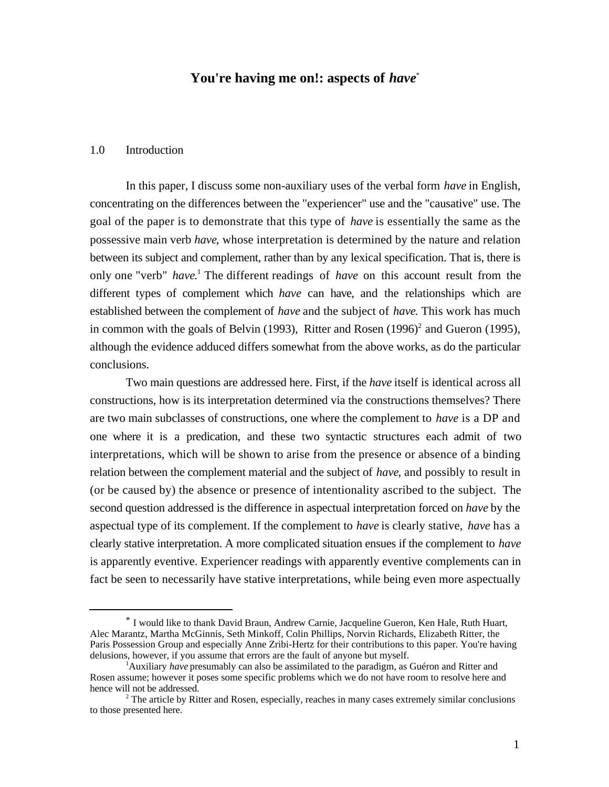## **You're having me on!: aspects of** *have*\*

#### 1.0 Introduction

l

In this paper, I discuss some non-auxiliary uses of the verbal form *have* in English, concentrating on the differences between the "experiencer" use and the "causative" use. The goal of the paper is to demonstrate that this type of *have* is essentially the same as the possessive main verb *have*, whose interpretation is determined by the nature and relation between its subject and complement, rather than by any lexical specification. That is, there is only one "verb" have.<sup>1</sup> The different readings of have on this account result from the different types of complement which *have* can have, and the relationships which are established between the complement of *have* and the subject of *have*. This work has much in common with the goals of Belvin (1993), Ritter and Rosen  $(1996)^2$  and Gueron (1995), although the evidence adduced differs somewhat from the above works, as do the particular conclusions.

Two main questions are addressed here. First, if the *have* itself is identical across all constructions, how is its interpretation determined via the constructions themselves? There are two main subclasses of constructions, one where the complement to *have* is a DP and one where it is a predication, and these two syntactic structures each admit of two interpretations, which will be shown to arise from the presence or absence of a binding relation between the complement material and the subject of *have*, and possibly to result in (or be caused by) the absence or presence of intentionality ascribed to the subject. The second question addressed is the difference in aspectual interpretation forced on *have* by the aspectual type of its complement. If the complement to *have* is clearly stative, *have* has a clearly stative interpretation. A more complicated situation ensues if the complement to *have* is apparently eventive. Experiencer readings with apparently eventive complements can in fact be seen to necessarily have stative interpretations, while being even more aspectually

<sup>\*</sup> I would like to thank David Braun, Andrew Carnie, Jacqueline Gueron, Ken Hale, Ruth Huart, Alec Marantz, Martha McGinnis, Seth Minkoff, Colin Phillips, Norvin Richards, Elizabeth Ritter, the Paris Possession Group and especially Anne Zribi-Hertz for their contributions to this paper. You're having delusions, however, if you assume that errors are the fault of anyone but myself.

<sup>&</sup>lt;sup>1</sup>Auxiliary *have* presumably can also be assimilated to the paradigm, as Guéron and Ritter and Rosen assume; however it poses some specific problems which we do not have room to resolve here and hence will not be addressed.

<sup>&</sup>lt;sup>2</sup> The article by Ritter and Rosen, especially, reaches in many cases extremely similar conclusions to those presented here.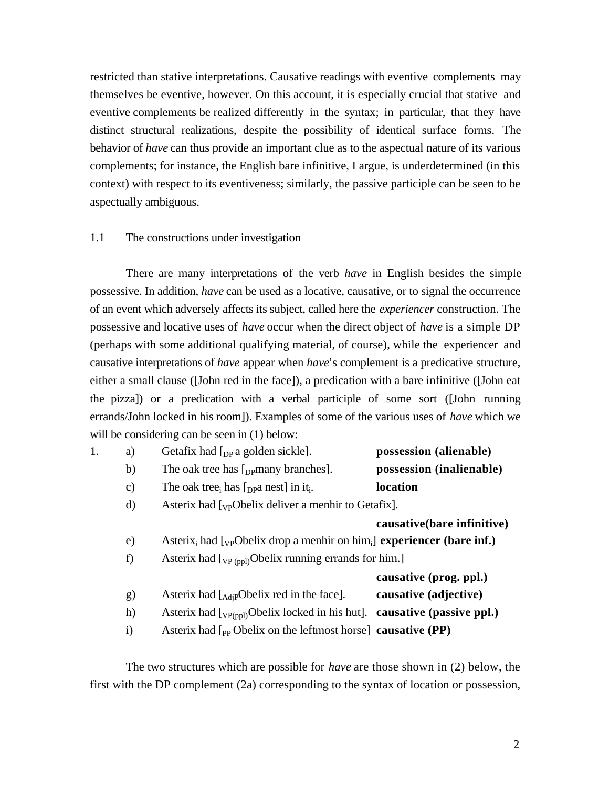restricted than stative interpretations. Causative readings with eventive complements may themselves be eventive, however. On this account, it is especially crucial that stative and eventive complements be realized differently in the syntax; in particular, that they have distinct structural realizations, despite the possibility of identical surface forms. The behavior of *have* can thus provide an important clue as to the aspectual nature of its various complements; for instance, the English bare infinitive, I argue, is underdetermined (in this context) with respect to its eventiveness; similarly, the passive participle can be seen to be aspectually ambiguous.

#### 1.1 The constructions under investigation

There are many interpretations of the verb *have* in English besides the simple possessive. In addition, *have* can be used as a locative, causative, or to signal the occurrence of an event which adversely affects its subject, called here the *experiencer* construction. The possessive and locative uses of *have* occur when the direct object of *have* is a simple DP (perhaps with some additional qualifying material, of course), while the experiencer and causative interpretations of *have* appear when *have*'s complement is a predicative structure, either a small clause ([John red in the face]), a predication with a bare infinitive ([John eat the pizza]) or a predication with a verbal participle of some sort ([John running errands/John locked in his room]). Examples of some of the various uses of *have* which we will be considering can be seen in (1) below:

| 1. | a)            | Getafix had $\lceil_{DP} a \rceil$ golden sickle].                                                             | possession (alienable)     |
|----|---------------|----------------------------------------------------------------------------------------------------------------|----------------------------|
|    | b)            | The oak tree has $[$ <sub>DP</sub> $]$ many branches].                                                         | possession (inalienable)   |
|    | $\mathbf{c})$ | The oak tree, has $\lceil_{\text{DP}}$ nest in it.                                                             | location                   |
|    | d)            | Asterix had $\lceil v \rceil$ belix deliver a menhir to Getafix.                                               |                            |
|    |               |                                                                                                                | causative(bare infinitive) |
|    | e)            | Asterix <sub>i</sub> had [ <sub>VP</sub> Obelix drop a menhir on him <sub>i</sub> ] experiencer (bare inf.)    |                            |
|    | f)            | Asterix had $\left[\begin{smallmatrix}V_P(p) \end{smallmatrix}\right]$ (Delix running errands for him.)        |                            |
|    |               |                                                                                                                | causative (prog. ppl.)     |
|    | g)            | Asterix had $\left[_{\text{AdiP}}\text{Obelix red in the face}\right]$ .                                       | causative (adjective)      |
|    | h)            | Asterix had $\left[\text{V}_{P(\text{pol})}\right]$ Obelix locked in his hut]. <b>causative (passive ppl.)</b> |                            |
|    | $\mathbf{i}$  | Asterix had $\left[$ <sub>pp</sub> Obelix on the leftmost horse] causative (PP)                                |                            |
|    |               |                                                                                                                |                            |

The two structures which are possible for *have* are those shown in (2) below, the first with the DP complement (2a) corresponding to the syntax of location or possession,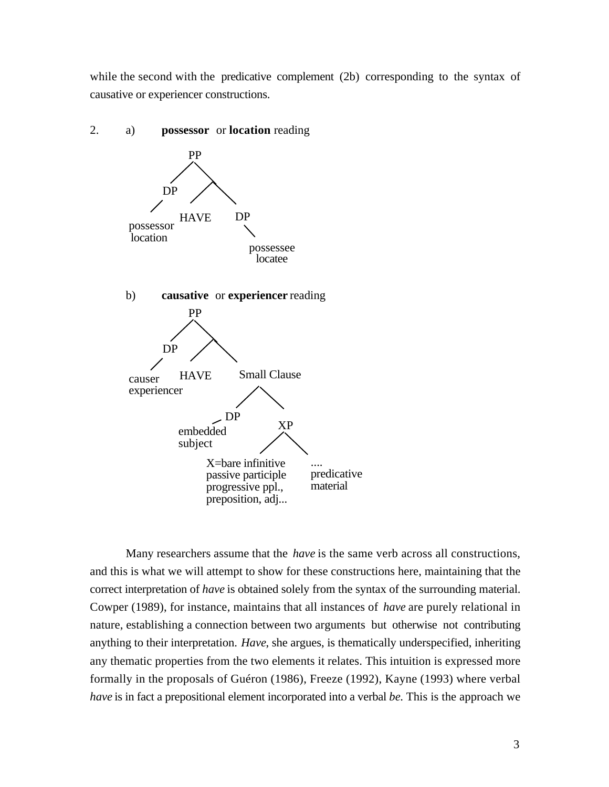while the second with the predicative complement (2b) corresponding to the syntax of causative or experiencer constructions.



Many researchers assume that the *have* is the same verb across all constructions, and this is what we will attempt to show for these constructions here, maintaining that the correct interpretation of *have* is obtained solely from the syntax of the surrounding material. Cowper (1989), for instance, maintains that all instances of *have* are purely relational in nature, establishing a connection between two arguments but otherwise not contributing anything to their interpretation. *Have*, she argues, is thematically underspecified, inheriting any thematic properties from the two elements it relates. This intuition is expressed more formally in the proposals of Guéron (1986), Freeze (1992), Kayne (1993) where verbal *have* is in fact a prepositional element incorporated into a verbal *be*. This is the approach we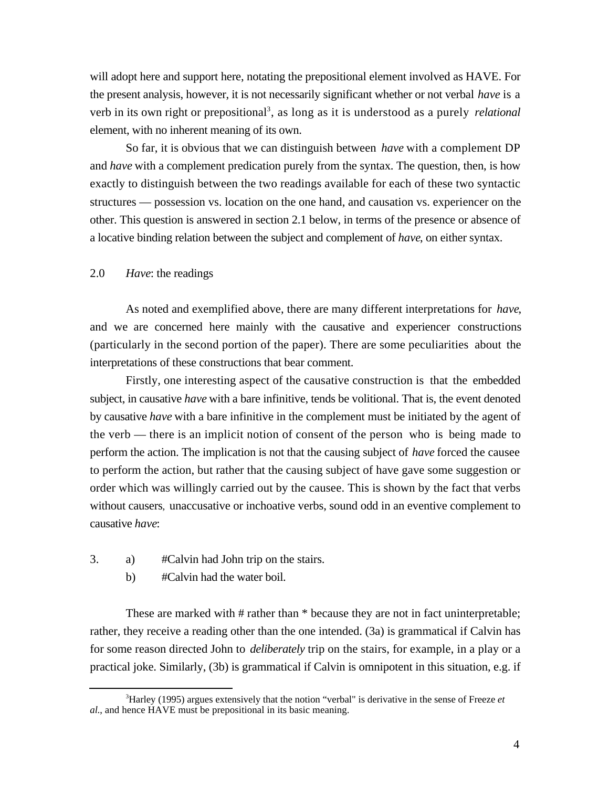will adopt here and support here, notating the prepositional element involved as HAVE. For the present analysis, however, it is not necessarily significant whether or not verbal *have* is a verb in its own right or prepositional<sup>3</sup>, as long as it is understood as a purely *relational* element, with no inherent meaning of its own.

So far, it is obvious that we can distinguish between *have* with a complement DP and *have* with a complement predication purely from the syntax. The question, then, is how exactly to distinguish between the two readings available for each of these two syntactic structures — possession vs. location on the one hand, and causation vs. experiencer on the other. This question is answered in section 2.1 below, in terms of the presence or absence of a locative binding relation between the subject and complement of *have*, on either syntax.

#### 2.0 *Have*: the readings

As noted and exemplified above, there are many different interpretations for *have*, and we are concerned here mainly with the causative and experiencer constructions (particularly in the second portion of the paper). There are some peculiarities about the interpretations of these constructions that bear comment.

Firstly, one interesting aspect of the causative construction is that the embedded subject, in causative *have* with a bare infinitive, tends be volitional. That is, the event denoted by causative *have* with a bare infinitive in the complement must be initiated by the agent of the verb — there is an implicit notion of consent of the person who is being made to perform the action. The implication is not that the causing subject of *have* forced the causee to perform the action, but rather that the causing subject of have gave some suggestion or order which was willingly carried out by the causee. This is shown by the fact that verbs without causers, unaccusative or inchoative verbs, sound odd in an eventive complement to causative *have*:

- 3. a) #Calvin had John trip on the stairs.
	- b) #Calvin had the water boil.

l

These are marked with # rather than \* because they are not in fact uninterpretable; rather, they receive a reading other than the one intended. (3a) is grammatical if Calvin has for some reason directed John to *deliberately* trip on the stairs, for example, in a play or a practical joke. Similarly, (3b) is grammatical if Calvin is omnipotent in this situation, e.g. if

<sup>3</sup>Harley (1995) argues extensively that the notion "verbal" is derivative in the sense of Freeze *et al.*, and hence HAVE must be prepositional in its basic meaning.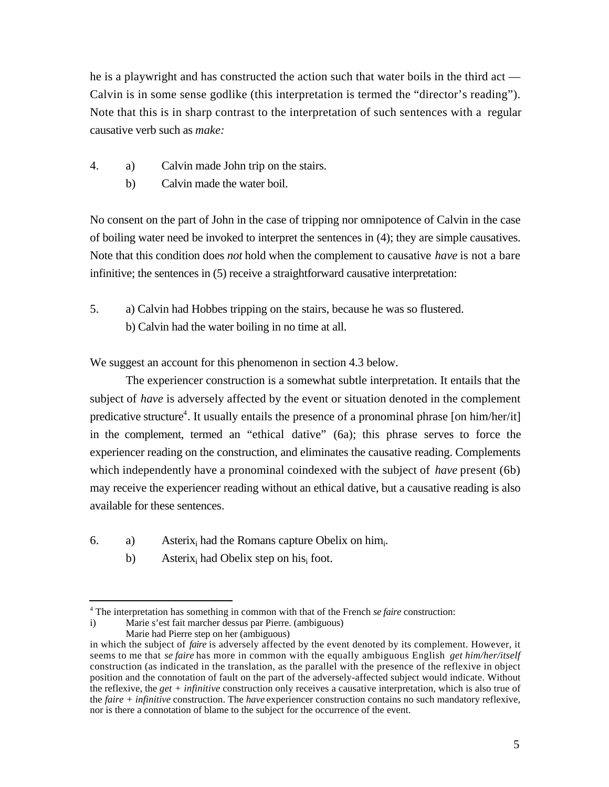he is a playwright and has constructed the action such that water boils in the third act — Calvin is in some sense godlike (this interpretation is termed the "director's reading"). Note that this is in sharp contrast to the interpretation of such sentences with a regular causative verb such as *make:*

- 4. a) Calvin made John trip on the stairs.
	- b) Calvin made the water boil.

No consent on the part of John in the case of tripping nor omnipotence of Calvin in the case of boiling water need be invoked to interpret the sentences in (4); they are simple causatives. Note that this condition does *not* hold when the complement to causative *have* is not a bare infinitive; the sentences in (5) receive a straightforward causative interpretation:

5. a) Calvin had Hobbes tripping on the stairs, because he was so flustered. b) Calvin had the water boiling in no time at all.

We suggest an account for this phenomenon in section 4.3 below.

The experiencer construction is a somewhat subtle interpretation. It entails that the subject of *have* is adversely affected by the event or situation denoted in the complement predicative structure<sup>4</sup>. It usually entails the presence of a pronominal phrase [on him/her/it] in the complement, termed an "ethical dative" (6a); this phrase serves to force the experiencer reading on the construction, and eliminates the causative reading. Complements which independently have a pronominal coindexed with the subject of *have* present (6b) may receive the experiencer reading without an ethical dative, but a causative reading is also available for these sentences.

- 6. a) Asterix<sub>i</sub> had the Romans capture Obelix on him.
	- b) Asterix<sub>i</sub> had Obelix step on his<sub>i</sub> foot.

l 4 The interpretation has something in common with that of the French *se faire* construction:

i) Marie s'est fait marcher dessus par Pierre. (ambiguous)

Marie had Pierre step on her (ambiguous) in which the subject of *faire* is adversely affected by the event denoted by its complement. However, it seems to me that *se faire* has more in common with the equally ambiguous English *get him/her/itself* construction (as indicated in the translation, as the parallel with the presence of the reflexive in object position and the connotation of fault on the part of the adversely-affected subject would indicate. Without the reflexive, the *get + infinitive* construction only receives a causative interpretation, which is also true of the *faire + infinitive* construction. The *have* experiencer construction contains no such mandatory reflexive, nor is there a connotation of blame to the subject for the occurrence of the event.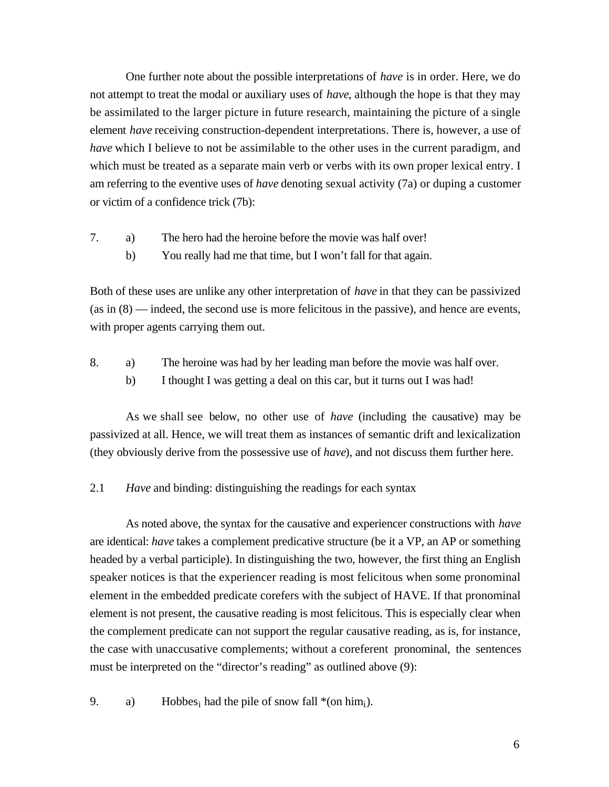One further note about the possible interpretations of *have* is in order. Here, we do not attempt to treat the modal or auxiliary uses of *have*, although the hope is that they may be assimilated to the larger picture in future research, maintaining the picture of a single element *have* receiving construction-dependent interpretations. There is, however, a use of *have* which I believe to not be assimilable to the other uses in the current paradigm, and which must be treated as a separate main verb or verbs with its own proper lexical entry. I am referring to the eventive uses of *have* denoting sexual activity (7a) or duping a customer or victim of a confidence trick (7b):

- 7. a) The hero had the heroine before the movie was half over!
	- b) You really had me that time, but I won't fall for that again.

Both of these uses are unlike any other interpretation of *have* in that they can be passivized (as in (8) — indeed, the second use is more felicitous in the passive), and hence are events, with proper agents carrying them out.

- 8. a) The heroine was had by her leading man before the movie was half over.
	- b) I thought I was getting a deal on this car, but it turns out I was had!

As we shall see below, no other use of *have* (including the causative) may be passivized at all. Hence, we will treat them as instances of semantic drift and lexicalization (they obviously derive from the possessive use of *have*), and not discuss them further here.

2.1 *Have* and binding: distinguishing the readings for each syntax

As noted above, the syntax for the causative and experiencer constructions with *have* are identical: *have* takes a complement predicative structure (be it a VP, an AP or something headed by a verbal participle). In distinguishing the two, however, the first thing an English speaker notices is that the experiencer reading is most felicitous when some pronominal element in the embedded predicate corefers with the subject of HAVE. If that pronominal element is not present, the causative reading is most felicitous. This is especially clear when the complement predicate can not support the regular causative reading, as is, for instance, the case with unaccusative complements; without a coreferent pronominal, the sentences must be interpreted on the "director's reading" as outlined above (9):

9. a) Hobbes<sub>i</sub> had the pile of snow fall  $*(on him<sub>i</sub>)$ .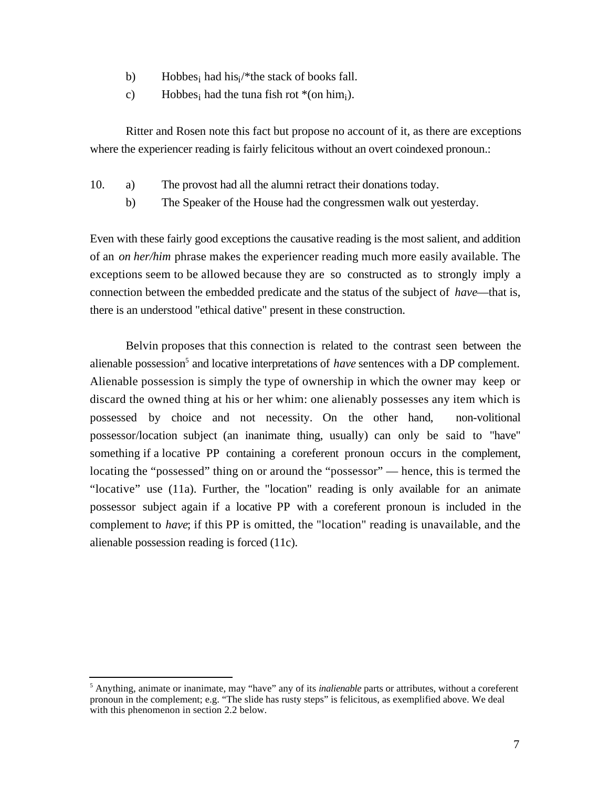- b) Hobbes<sub>i</sub> had his<sub>i</sub>/\*the stack of books fall.
- c) Hobbes<sub>i</sub> had the tuna fish rot  $*(on him<sub>i</sub>)$ .

Ritter and Rosen note this fact but propose no account of it, as there are exceptions where the experiencer reading is fairly felicitous without an overt coindexed pronoun.:

- 10. a) The provost had all the alumni retract their donations today.
	- b) The Speaker of the House had the congressmen walk out yesterday.

Even with these fairly good exceptions the causative reading is the most salient, and addition of an *on her/him* phrase makes the experiencer reading much more easily available. The exceptions seem to be allowed because they are so constructed as to strongly imply a connection between the embedded predicate and the status of the subject of *have*—that is, there is an understood "ethical dative" present in these construction.

Belvin proposes that this connection is related to the contrast seen between the alienable possession<sup>5</sup> and locative interpretations of *have* sentences with a DP complement. Alienable possession is simply the type of ownership in which the owner may keep or discard the owned thing at his or her whim: one alienably possesses any item which is possessed by choice and not necessity. On the other hand, non-volitional possessor/location subject (an inanimate thing, usually) can only be said to "have" something if a locative PP containing a coreferent pronoun occurs in the complement, locating the "possessed" thing on or around the "possessor" — hence, this is termed the "locative" use (11a). Further, the "location" reading is only available for an animate possessor subject again if a locative PP with a coreferent pronoun is included in the complement to *have*; if this PP is omitted, the "location" reading is unavailable, and the alienable possession reading is forced (11c).

l

<sup>&</sup>lt;sup>5</sup> Anything, animate or inanimate, may "have" any of its *inalienable* parts or attributes, without a coreferent pronoun in the complement; e.g. "The slide has rusty steps" is felicitous, as exemplified above. We deal with this phenomenon in section 2.2 below.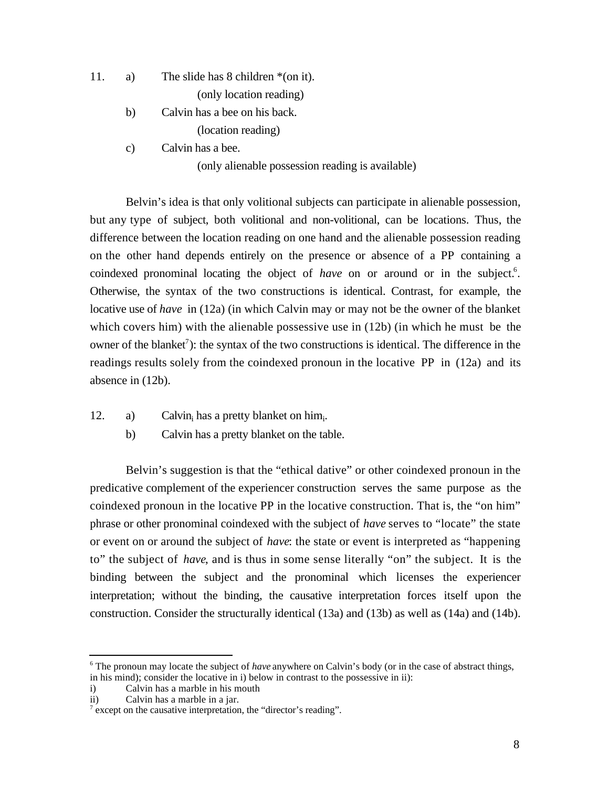11. a) The slide has 8 children \*(on it).

(only location reading)

- b) Calvin has a bee on his back. (location reading)
- c) Calvin has a bee.

(only alienable possession reading is available)

Belvin's idea is that only volitional subjects can participate in alienable possession, but any type of subject, both volitional and non-volitional, can be locations. Thus, the difference between the location reading on one hand and the alienable possession reading on the other hand depends entirely on the presence or absence of a PP containing a coindexed pronominal locating the object of *have* on or around or in the subject.<sup>6</sup>. Otherwise, the syntax of the two constructions is identical. Contrast, for example, the locative use of *have* in (12a) (in which Calvin may or may not be the owner of the blanket which covers him) with the alienable possessive use in (12b) (in which he must be the owner of the blanket<sup>7</sup>): the syntax of the two constructions is identical. The difference in the readings results solely from the coindexed pronoun in the locative PP in (12a) and its absence in (12b).

- 12. a) Calvin<sub>i</sub> has a pretty blanket on him<sub>i</sub>.
	- b) Calvin has a pretty blanket on the table.

Belvin's suggestion is that the "ethical dative" or other coindexed pronoun in the predicative complement of the experiencer construction serves the same purpose as the coindexed pronoun in the locative PP in the locative construction. That is, the "on him" phrase or other pronominal coindexed with the subject of *have* serves to "locate" the state or event on or around the subject of *have*: the state or event is interpreted as "happening to" the subject of *have*, and is thus in some sense literally "on" the subject. It is the binding between the subject and the pronominal which licenses the experiencer interpretation; without the binding, the causative interpretation forces itself upon the construction. Consider the structurally identical (13a) and (13b) as well as (14a) and (14b).

l

<sup>&</sup>lt;sup>6</sup> The pronoun may locate the subject of *have* anywhere on Calvin's body (or in the case of abstract things, in his mind); consider the locative in i) below in contrast to the possessive in ii):

i) Calvin has a marble in his mouth

ii) Calvin has a marble in a jar.

 $\alpha$ <sup>7</sup> except on the causative interpretation, the "director's reading".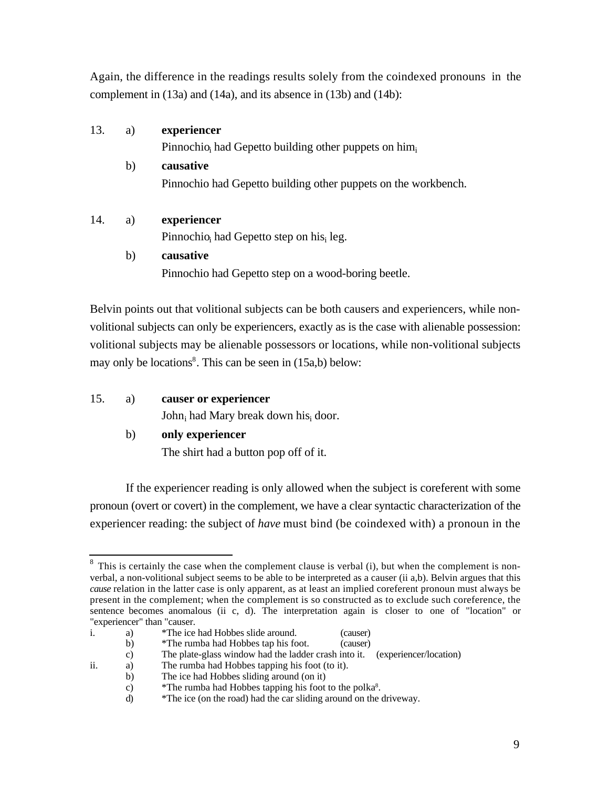Again, the difference in the readings results solely from the coindexed pronouns in the complement in (13a) and (14a), and its absence in (13b) and (14b):

| 13. | a) | experiencer                                                    |
|-----|----|----------------------------------------------------------------|
|     |    | Pinnochio, had Gepetto building other puppets on $\lim_{i}$    |
|     | h) | causative                                                      |
|     |    | Pinnochio had Gepetto building other puppets on the workbench. |
|     |    |                                                                |

## 14. a) **experiencer**

Pinnochio<sub>i</sub> had Gepetto step on his<sub>i</sub> leg.

## b) **causative**

Pinnochio had Gepetto step on a wood-boring beetle.

Belvin points out that volitional subjects can be both causers and experiencers, while nonvolitional subjects can only be experiencers, exactly as is the case with alienable possession: volitional subjects may be alienable possessors or locations, while non-volitional subjects may only be locations<sup>8</sup>. This can be seen in (15a,b) below:

# 15. a) **causer or experiencer**

John<sub>i</sub> had Mary break down his<sub>i</sub> door.

## b) **only experiencer**

The shirt had a button pop off of it.

If the experiencer reading is only allowed when the subject is coreferent with some pronoun (overt or covert) in the complement, we have a clear syntactic characterization of the experiencer reading: the subject of *have* must bind (be coindexed with) a pronoun in the

 $\overline{a}$  $8$  This is certainly the case when the complement clause is verbal (i), but when the complement is nonverbal, a non-volitional subject seems to be able to be interpreted as a causer (ii a,b). Belvin argues that this *cause* relation in the latter case is only apparent, as at least an implied coreferent pronoun must always be present in the complement; when the complement is so constructed as to exclude such coreference, the sentence becomes anomalous (ii c, d). The interpretation again is closer to one of "location" or "experiencer" than "causer.

i. a) \*The ice had Hobbes slide around. (causer)

b) \*The rumba had Hobbes tap his foot. (causer)

c) The plate-glass window had the ladder crash into it. (experiencer/location) The rumba had Hobbes tapping his foot (to it).

ii. a) The rumba had Hobbes tapping his foot (to it).

b) The ice had Hobbes sliding around (on it)

c)  $*$  The rumba had Hobbes tapping his foot to the polka $8$ .

d) \*The ice (on the road) had the car sliding around on the driveway.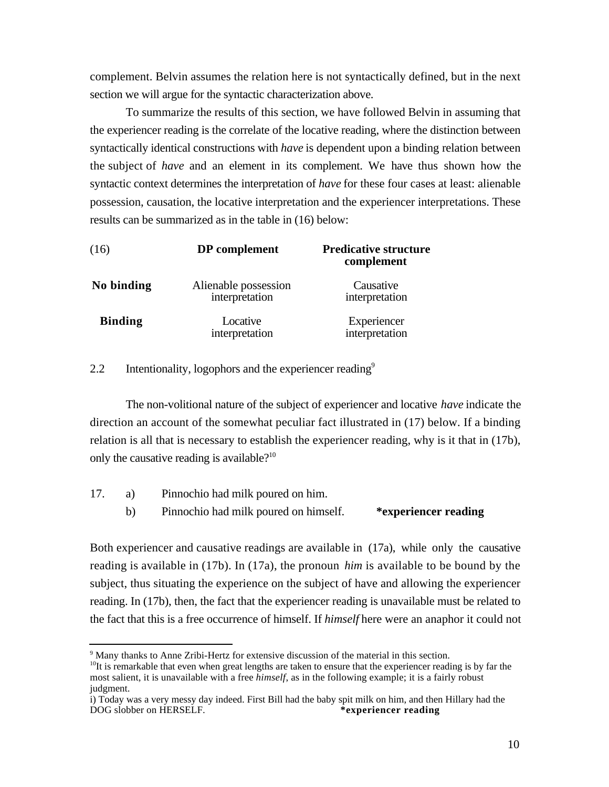complement. Belvin assumes the relation here is not syntactically defined, but in the next section we will argue for the syntactic characterization above.

To summarize the results of this section, we have followed Belvin in assuming that the experiencer reading is the correlate of the locative reading, where the distinction between syntactically identical constructions with *have* is dependent upon a binding relation between the subject of *have* and an element in its complement. We have thus shown how the syntactic context determines the interpretation of *have* for these four cases at least: alienable possession, causation, the locative interpretation and the experiencer interpretations. These results can be summarized as in the table in (16) below:

| (16)           | DP complement                          | <b>Predicative structure</b><br>complement |
|----------------|----------------------------------------|--------------------------------------------|
| No binding     | Alienable possession<br>interpretation | Causative<br>interpretation                |
| <b>Binding</b> | Locative<br>interpretation             | Experiencer<br>interpretation              |

2.2 Intentionality, logophors and the experiencer reading $9$ 

The non-volitional nature of the subject of experiencer and locative *have* indicate the direction an account of the somewhat peculiar fact illustrated in (17) below. If a binding relation is all that is necessary to establish the experiencer reading, why is it that in (17b), only the causative reading is available?<sup>10</sup>

17. a) Pinnochio had milk poured on him. b) Pinnochio had milk poured on himself. **\*experiencer reading**

Both experiencer and causative readings are available in (17a), while only the causative reading is available in (17b). In (17a), the pronoun *him* is available to be bound by the subject, thus situating the experience on the subject of have and allowing the experiencer reading. In (17b), then, the fact that the experiencer reading is unavailable must be related to the fact that this is a free occurrence of himself. If *himself* here were an anaphor it could not

l

<sup>&</sup>lt;sup>9</sup> Many thanks to Anne Zribi-Hertz for extensive discussion of the material in this section.

<sup>&</sup>lt;sup>10</sup>It is remarkable that even when great lengths are taken to ensure that the experiencer reading is by far the most salient, it is unavailable with a free *himself*, as in the following example; it is a fairly robust judgment.

i) Today was a very messy day indeed. First Bill had the baby spit milk on him, and then Hillary had the DOG slobber on HERSELF. DOG slobber on HERSELF.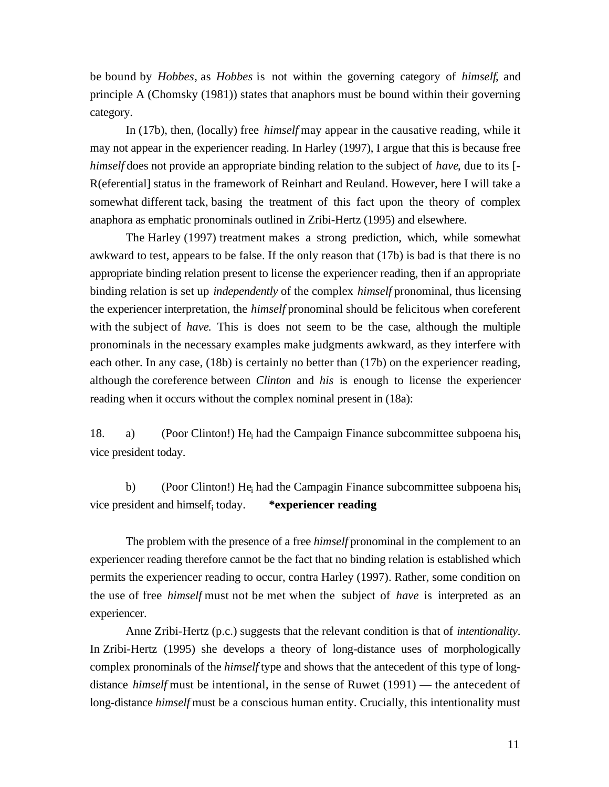be bound by *Hobbes*, as *Hobbes* is not within the governing category of *himself*, and principle A (Chomsky (1981)) states that anaphors must be bound within their governing category.

In (17b), then, (locally) free *himself* may appear in the causative reading, while it may not appear in the experiencer reading. In Harley (1997), I argue that this is because free *himself* does not provide an appropriate binding relation to the subject of *have*, due to its [- R(eferential] status in the framework of Reinhart and Reuland. However, here I will take a somewhat different tack, basing the treatment of this fact upon the theory of complex anaphora as emphatic pronominals outlined in Zribi-Hertz (1995) and elsewhere.

The Harley (1997) treatment makes a strong prediction, which, while somewhat awkward to test, appears to be false. If the only reason that (17b) is bad is that there is no appropriate binding relation present to license the experiencer reading, then if an appropriate binding relation is set up *independently* of the complex *himself* pronominal, thus licensing the experiencer interpretation, the *himself* pronominal should be felicitous when coreferent with the subject of *have*. This is does not seem to be the case, although the multiple pronominals in the necessary examples make judgments awkward, as they interfere with each other. In any case, (18b) is certainly no better than (17b) on the experiencer reading, although the coreference between *Clinton* and *his* is enough to license the experiencer reading when it occurs without the complex nominal present in  $(18a)$ :

18. a) (Poor Clinton!) He<sub>i</sub> had the Campaign Finance subcommittee subpoena his<sub>i</sub> vice president today.

b) (Poor Clinton!) He<sub>i</sub> had the Campagin Finance subcommittee subpoena his<sub>i</sub> vice president and himself today. \*experiencer reading

The problem with the presence of a free *himself* pronominal in the complement to an experiencer reading therefore cannot be the fact that no binding relation is established which permits the experiencer reading to occur, contra Harley (1997). Rather, some condition on the use of free *himself* must not be met when the subject of *have* is interpreted as an experiencer.

Anne Zribi-Hertz (p.c.) suggests that the relevant condition is that of *intentionality*. In Zribi-Hertz (1995) she develops a theory of long-distance uses of morphologically complex pronominals of the *himself* type and shows that the antecedent of this type of longdistance *himself* must be intentional, in the sense of Ruwet (1991) — the antecedent of long-distance *himself* must be a conscious human entity. Crucially, this intentionality must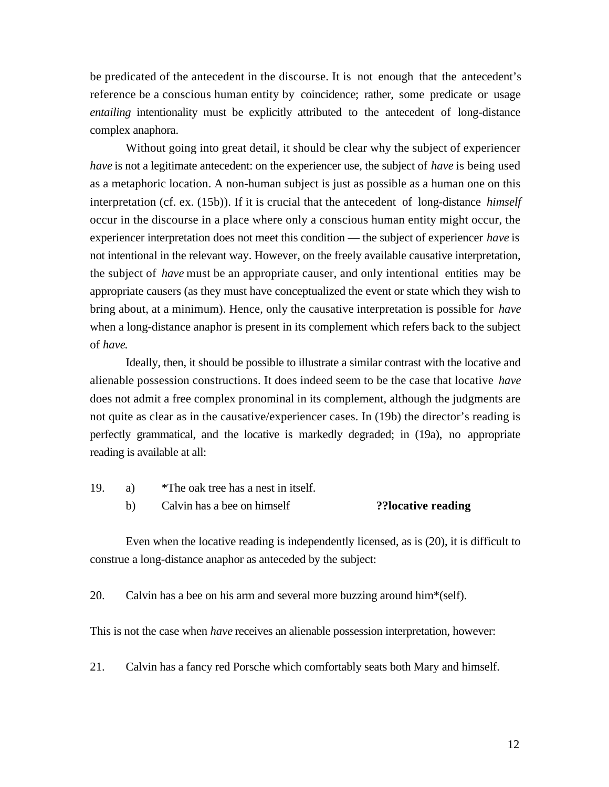be predicated of the antecedent in the discourse. It is not enough that the antecedent's reference be a conscious human entity by coincidence; rather, some predicate or usage *entailing* intentionality must be explicitly attributed to the antecedent of long-distance complex anaphora.

Without going into great detail, it should be clear why the subject of experiencer *have* is not a legitimate antecedent: on the experiencer use, the subject of *have* is being used as a metaphoric location. A non-human subject is just as possible as a human one on this interpretation (cf. ex. (15b)). If it is crucial that the antecedent of long-distance *himself* occur in the discourse in a place where only a conscious human entity might occur, the experiencer interpretation does not meet this condition — the subject of experiencer *have* is not intentional in the relevant way. However, on the freely available causative interpretation, the subject of *have* must be an appropriate causer, and only intentional entities may be appropriate causers (as they must have conceptualized the event or state which they wish to bring about, at a minimum). Hence, only the causative interpretation is possible for *have* when a long-distance anaphor is present in its complement which refers back to the subject of *have*.

Ideally, then, it should be possible to illustrate a similar contrast with the locative and alienable possession constructions. It does indeed seem to be the case that locative *have* does not admit a free complex pronominal in its complement, although the judgments are not quite as clear as in the causative/experiencer cases. In (19b) the director's reading is perfectly grammatical, and the locative is markedly degraded; in (19a), no appropriate reading is available at all:

- 19. a) \*The oak tree has a nest in itself.
	- b) Calvin has a bee on himself **??locative reading**

Even when the locative reading is independently licensed, as is (20), it is difficult to construe a long-distance anaphor as anteceded by the subject:

20. Calvin has a bee on his arm and several more buzzing around him\*(self).

This is not the case when *have* receives an alienable possession interpretation, however:

21. Calvin has a fancy red Porsche which comfortably seats both Mary and himself.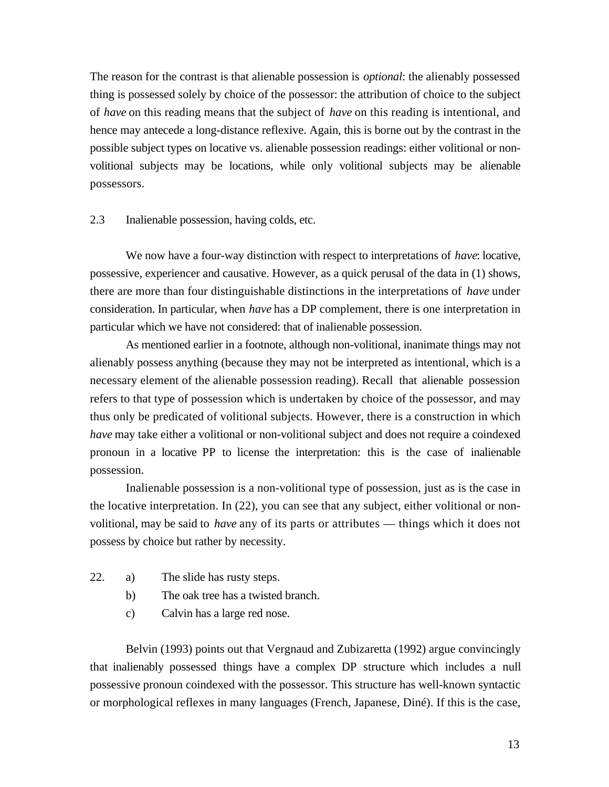The reason for the contrast is that alienable possession is *optional*: the alienably possessed thing is possessed solely by choice of the possessor: the attribution of choice to the subject of *have* on this reading means that the subject of *have* on this reading is intentional, and hence may antecede a long-distance reflexive. Again, this is borne out by the contrast in the possible subject types on locative vs. alienable possession readings: either volitional or nonvolitional subjects may be locations, while only volitional subjects may be alienable possessors.

2.3 Inalienable possession, having colds, etc.

We now have a four-way distinction with respect to interpretations of *have*: locative, possessive, experiencer and causative. However, as a quick perusal of the data in (1) shows, there are more than four distinguishable distinctions in the interpretations of *have* under consideration. In particular, when *have* has a DP complement, there is one interpretation in particular which we have not considered: that of inalienable possession.

As mentioned earlier in a footnote, although non-volitional, inanimate things may not alienably possess anything (because they may not be interpreted as intentional, which is a necessary element of the alienable possession reading). Recall that alienable possession refers to that type of possession which is undertaken by choice of the possessor, and may thus only be predicated of volitional subjects. However, there is a construction in which *have* may take either a volitional or non-volitional subject and does not require a coindexed pronoun in a locative PP to license the interpretation: this is the case of inalienable possession.

Inalienable possession is a non-volitional type of possession, just as is the case in the locative interpretation. In (22), you can see that any subject, either volitional or nonvolitional, may be said to *have* any of its parts or attributes — things which it does not possess by choice but rather by necessity.

- 22. a) The slide has rusty steps.
	- b) The oak tree has a twisted branch.
	- c) Calvin has a large red nose.

Belvin (1993) points out that Vergnaud and Zubizaretta (1992) argue convincingly that inalienably possessed things have a complex DP structure which includes a null possessive pronoun coindexed with the possessor. This structure has well-known syntactic or morphological reflexes in many languages (French, Japanese, Diné). If this is the case,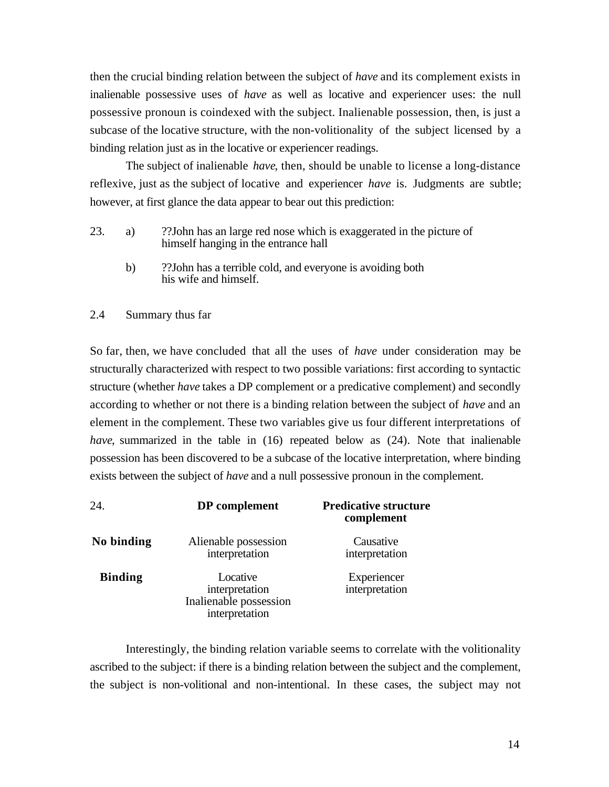then the crucial binding relation between the subject of *have* and its complement exists in inalienable possessive uses of *have* as well as locative and experiencer uses: the null possessive pronoun is coindexed with the subject. Inalienable possession, then, is just a subcase of the locative structure, with the non-volitionality of the subject licensed by a binding relation just as in the locative or experiencer readings.

The subject of inalienable *have*, then, should be unable to license a long-distance reflexive, just as the subject of locative and experiencer *have* is. Judgments are subtle; however, at first glance the data appear to bear out this prediction:

- 23. a) ??John has an large red nose which is exaggerated in the picture of himself hanging in the entrance hall
	- b) ??John has a terrible cold, and everyone is avoiding both his wife and himself.

## 2.4 Summary thus far

So far, then, we have concluded that all the uses of *have* under consideration may be structurally characterized with respect to two possible variations: first according to syntactic structure (whether *have* takes a DP complement or a predicative complement) and secondly according to whether or not there is a binding relation between the subject of *have* and an element in the complement. These two variables give us four different interpretations of *have*, summarized in the table in (16) repeated below as (24). Note that inalienable possession has been discovered to be a subcase of the locative interpretation, where binding exists between the subject of *have* and a null possessive pronoun in the complement.

| 24.            | DP complement                                                          | <b>Predicative structure</b><br>complement |
|----------------|------------------------------------------------------------------------|--------------------------------------------|
| No binding     | Alienable possession<br>interpretation                                 | Causative<br>interpretation                |
| <b>Binding</b> | Locative<br>interpretation<br>Inalienable possession<br>interpretation | Experiencer<br>interpretation              |

Interestingly, the binding relation variable seems to correlate with the volitionality ascribed to the subject: if there is a binding relation between the subject and the complement, the subject is non-volitional and non-intentional. In these cases, the subject may not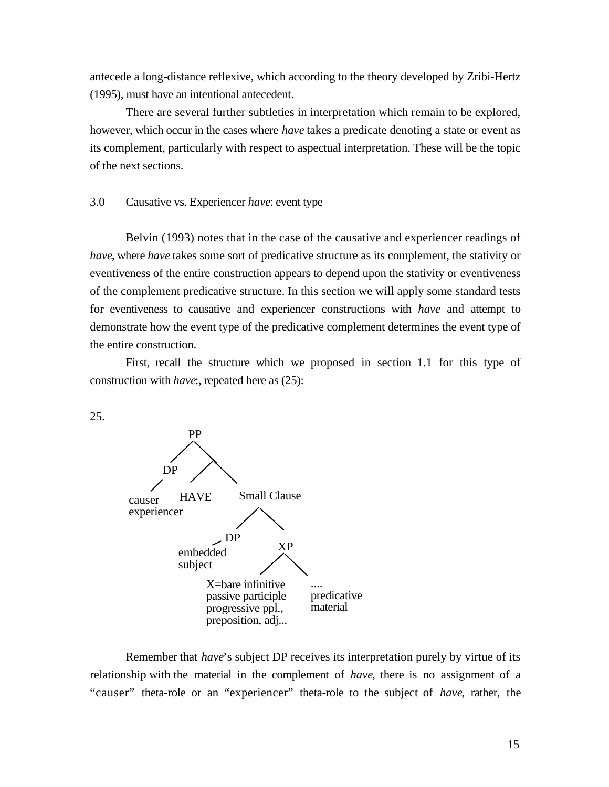antecede a long-distance reflexive, which according to the theory developed by Zribi-Hertz (1995), must have an intentional antecedent.

There are several further subtleties in interpretation which remain to be explored, however, which occur in the cases where *have* takes a predicate denoting a state or event as its complement, particularly with respect to aspectual interpretation. These will be the topic of the next sections.

## 3.0 Causative vs. Experiencer *have*: event type

Belvin (1993) notes that in the case of the causative and experiencer readings of *have*, where *have* takes some sort of predicative structure as its complement, the stativity or eventiveness of the entire construction appears to depend upon the stativity or eventiveness of the complement predicative structure. In this section we will apply some standard tests for eventiveness to causative and experiencer constructions with *have* and attempt to demonstrate how the event type of the predicative complement determines the event type of the entire construction.

First, recall the structure which we proposed in section 1.1 for this type of construction with *have*:, repeated here as (25):

25.



Remember that *have*'s subject DP receives its interpretation purely by virtue of its relationship with the material in the complement of *have*, there is no assignment of a "causer" theta-role or an "experiencer" theta-role to the subject of *have*, rather, the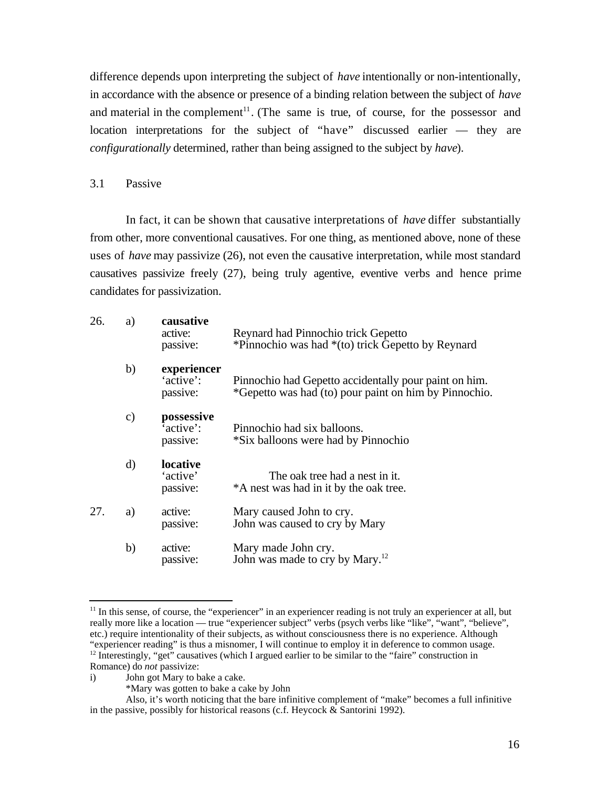difference depends upon interpreting the subject of *have* intentionally or non-intentionally, in accordance with the absence or presence of a binding relation between the subject of *have* and material in the complement<sup>11</sup>. (The same is true, of course, for the possessor and location interpretations for the subject of "have" discussed earlier — they are *configurationally* determined, rather than being assigned to the subject by *have*).

#### 3.1 Passive

In fact, it can be shown that causative interpretations of *have* differ substantially from other, more conventional causatives. For one thing, as mentioned above, none of these uses of *have* may passivize (26), not even the causative interpretation, while most standard causatives passivize freely (27), being truly agentive, eventive verbs and hence prime candidates for passivization.

| 26. | a)            | causative<br>active:<br>passive:     | Reynard had Pinnochio trick Gepetto<br>*Pinnochio was had *(to) trick Gepetto by Reynard                       |
|-----|---------------|--------------------------------------|----------------------------------------------------------------------------------------------------------------|
|     | b)            | experiencer<br>'active':<br>passive: | Pinnochio had Gepetto accidentally pour paint on him.<br>*Gepetto was had (to) pour paint on him by Pinnochio. |
|     | $\mathbf{c})$ | possessive<br>'active':<br>passive:  | Pinnochio had six balloons.<br>*Six balloons were had by Pinnochio                                             |
|     | $\mathbf{d}$  | locative<br>'active'<br>passive:     | The oak tree had a nest in it.<br>*A nest was had in it by the oak tree.                                       |
| 27. | a)            | active:<br>passive:                  | Mary caused John to cry.<br>John was caused to cry by Mary                                                     |
|     | b)            | active:<br>passive:                  | Mary made John cry.<br>John was made to cry by Mary. <sup>12</sup>                                             |

l  $11$  In this sense, of course, the "experiencer" in an experiencer reading is not truly an experiencer at all, but really more like a location — true "experiencer subject" verbs (psych verbs like "like", "want", "believe", etc.) require intentionality of their subjects, as without consciousness there is no experience. Although "experiencer reading" is thus a misnomer, I will continue to employ it in deference to common usage.  $12$  Interestingly, "get" causatives (which I argued earlier to be similar to the "faire" construction in Romance) do *not* passivize:

i) John got Mary to bake a cake.

<sup>\*</sup>Mary was gotten to bake a cake by John

Also, it's worth noticing that the bare infinitive complement of "make" becomes a full infinitive in the passive, possibly for historical reasons (c.f. Heycock & Santorini 1992).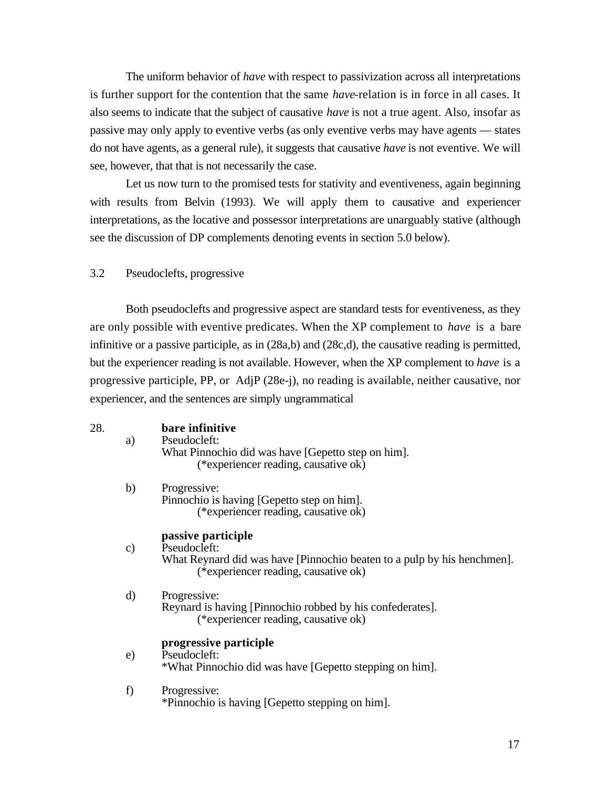The uniform behavior of *have* with respect to passivization across all interpretations is further support for the contention that the same *have*-relation is in force in all cases. It also seems to indicate that the subject of causative *have* is not a true agent. Also, insofar as passive may only apply to eventive verbs (as only eventive verbs may have agents — states do not have agents, as a general rule), it suggests that causative *have* is not eventive. We will see, however, that that is not necessarily the case.

Let us now turn to the promised tests for stativity and eventiveness, again beginning with results from Belvin (1993). We will apply them to causative and experiencer interpretations, as the locative and possessor interpretations are unarguably stative (although see the discussion of DP complements denoting events in section 5.0 below).

3.2 Pseudoclefts, progressive

Both pseudoclefts and progressive aspect are standard tests for eventiveness, as they are only possible with eventive predicates. When the XP complement to *have* is a bare infinitive or a passive participle, as in (28a,b) and (28c,d), the causative reading is permitted, but the experiencer reading is not available. However, when the XP complement to *have* is a progressive participle, PP, or AdjP (28e-j), no reading is available, neither causative, nor experiencer, and the sentences are simply ungrammatical

| 28. | a)            | bare infinitive<br>Pseudocleft:<br>What Pinnochio did was have [Gepetto step on him].<br>(*experiencer reading, causative ok)                         |
|-----|---------------|-------------------------------------------------------------------------------------------------------------------------------------------------------|
|     | b)            | Progressive:<br>Pinnochio is having [Gepetto step on him].<br>(*experiencer reading, causative ok)                                                    |
|     | $\mathbf{c})$ | passive participle<br>Pseudocleft:<br>What Reynard did was have [Pinnochio beaten to a pulp by his henchmen].<br>(*experiencer reading, causative ok) |
|     | d)            | Progressive:<br>Reynard is having [Pinnochio robbed by his confederates].<br>(*experiencer reading, causative ok)                                     |
|     | $\epsilon$    | progressive participle<br>Pseudocleft:<br>*What Pinnochio did was have [Gepetto stepping on him].                                                     |
|     | f)            | Progressive:<br>*Pinnochio is having [Gepetto stepping on him].                                                                                       |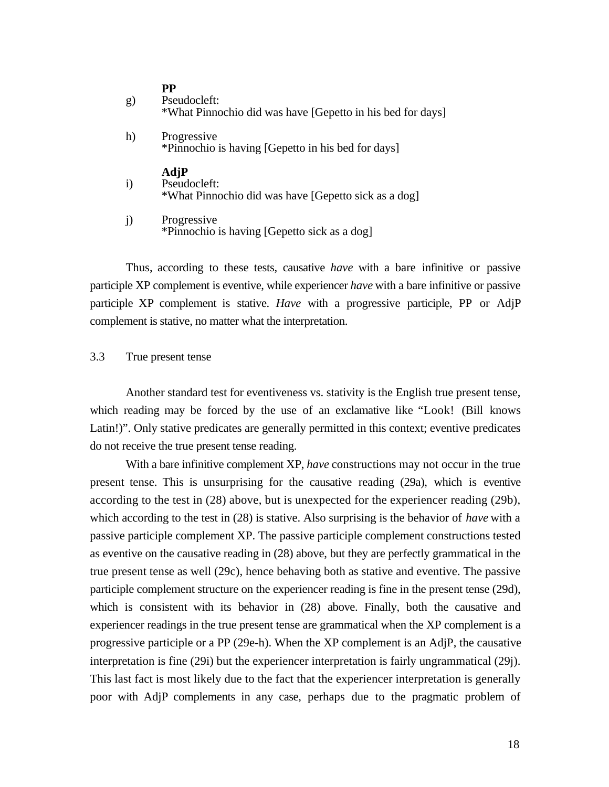| g) | PР<br>Pseudocleft:<br>*What Pinnochio did was have [Gepetto in his bed for days] |
|----|----------------------------------------------------------------------------------|
| h) | Progressive<br>*Pinnochio is having [Gepetto in his bed for days]                |
|    | AdjP<br>$\sim$ 1 $\sim$                                                          |

- i) Pseudocleft: \*What Pinnochio did was have [Gepetto sick as a dog]
- j) Progressive \*Pinnochio is having [Gepetto sick as a dog]

Thus, according to these tests, causative *have* with a bare infinitive or passive participle XP complement is eventive, while experiencer *have* with a bare infinitive or passive participle XP complement is stative. *Have* with a progressive participle, PP or AdjP complement is stative, no matter what the interpretation.

## 3.3 True present tense

Another standard test for eventiveness vs. stativity is the English true present tense, which reading may be forced by the use of an exclamative like "Look! (Bill knows Latin!)". Only stative predicates are generally permitted in this context; eventive predicates do not receive the true present tense reading.

With a bare infinitive complement XP, *have* constructions may not occur in the true present tense. This is unsurprising for the causative reading (29a), which is eventive according to the test in (28) above, but is unexpected for the experiencer reading (29b), which according to the test in (28) is stative. Also surprising is the behavior of *have* with a passive participle complement XP. The passive participle complement constructions tested as eventive on the causative reading in (28) above, but they are perfectly grammatical in the true present tense as well (29c), hence behaving both as stative and eventive. The passive participle complement structure on the experiencer reading is fine in the present tense (29d), which is consistent with its behavior in (28) above. Finally, both the causative and experiencer readings in the true present tense are grammatical when the XP complement is a progressive participle or a PP (29e-h). When the XP complement is an AdjP, the causative interpretation is fine (29i) but the experiencer interpretation is fairly ungrammatical (29j). This last fact is most likely due to the fact that the experiencer interpretation is generally poor with AdjP complements in any case, perhaps due to the pragmatic problem of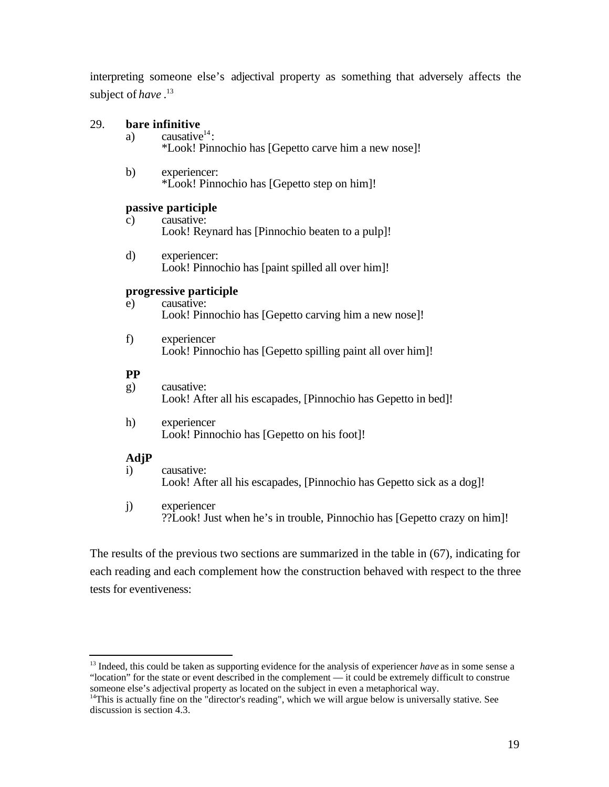interpreting someone else's adjectival property as something that adversely affects the subject of *have* . 13

## 29. **bare infinitive**

- a) causative $14$ : \*Look! Pinnochio has [Gepetto carve him a new nose]!
- b) experiencer: \*Look! Pinnochio has [Gepetto step on him]!

#### **passive participle**

- c) causative: Look! Reynard has [Pinnochio beaten to a pulp]!
- d) experiencer: Look! Pinnochio has [paint spilled all over him]!

## **progressive participle**

- e) causative: Look! Pinnochio has [Gepetto carving him a new nose]!
- f) experiencer Look! Pinnochio has [Gepetto spilling paint all over him]!

#### **PP**

- g) causative: Look! After all his escapades, [Pinnochio has Gepetto in bed]!
- h) experiencer Look! Pinnochio has [Gepetto on his foot]!

#### **AdjP**

l

- i) causative: Look! After all his escapades, [Pinnochio has Gepetto sick as a dog]!
- j) experiencer ??Look! Just when he's in trouble, Pinnochio has [Gepetto crazy on him]!

The results of the previous two sections are summarized in the table in (67), indicating for each reading and each complement how the construction behaved with respect to the three tests for eventiveness:

<sup>&</sup>lt;sup>13</sup> Indeed, this could be taken as supporting evidence for the analysis of experiencer *have* as in some sense a "location" for the state or event described in the complement — it could be extremely difficult to construe someone else's adjectival property as located on the subject in even a metaphorical way.

<sup>&</sup>lt;sup>14</sup>This is actually fine on the "director's reading", which we will argue below is universally stative. See discussion is section 4.3.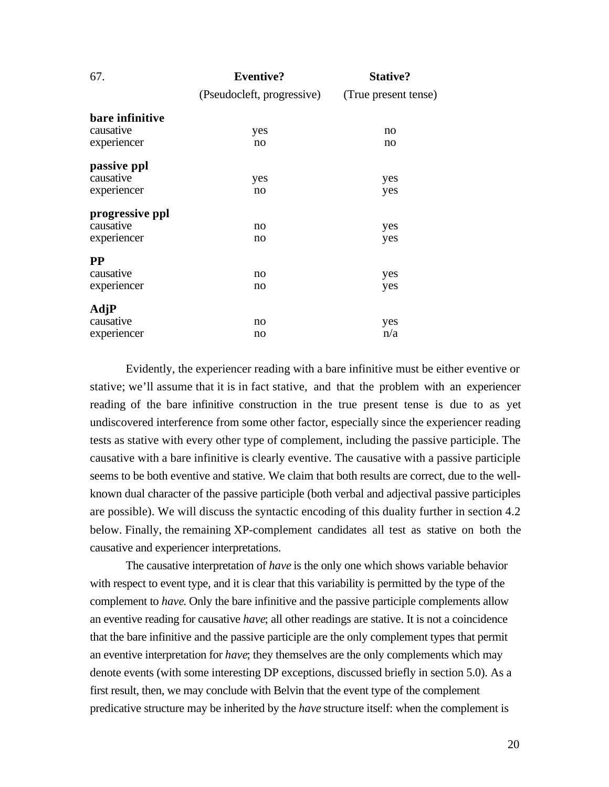| 67.             | <b>Eventive?</b>           | <b>Stative?</b>      |
|-----------------|----------------------------|----------------------|
|                 | (Pseudocleft, progressive) | (True present tense) |
| bare infinitive |                            |                      |
| causative       | yes                        | no                   |
| experiencer     | no                         | no                   |
| passive ppl     |                            |                      |
| causative       | yes                        | yes                  |
| experiencer     | no                         | yes                  |
| progressive ppl |                            |                      |
| causative       | no                         | yes                  |
| experiencer     | no                         | yes                  |
| <b>PP</b>       |                            |                      |
| causative       | no                         | yes                  |
| experiencer     | no                         | yes                  |
| AdjP            |                            |                      |
| causative       | no                         | yes                  |
| experiencer     | no                         | n/a                  |

Evidently, the experiencer reading with a bare infinitive must be either eventive or stative; we'll assume that it is in fact stative, and that the problem with an experiencer reading of the bare infinitive construction in the true present tense is due to as yet undiscovered interference from some other factor, especially since the experiencer reading tests as stative with every other type of complement, including the passive participle. The causative with a bare infinitive is clearly eventive. The causative with a passive participle seems to be both eventive and stative. We claim that both results are correct, due to the wellknown dual character of the passive participle (both verbal and adjectival passive participles are possible). We will discuss the syntactic encoding of this duality further in section 4.2 below. Finally, the remaining XP-complement candidates all test as stative on both the causative and experiencer interpretations.

The causative interpretation of *have* is the only one which shows variable behavior with respect to event type, and it is clear that this variability is permitted by the type of the complement to *have*. Only the bare infinitive and the passive participle complements allow an eventive reading for causative *have*; all other readings are stative. It is not a coincidence that the bare infinitive and the passive participle are the only complement types that permit an eventive interpretation for *have*; they themselves are the only complements which may denote events (with some interesting DP exceptions, discussed briefly in section 5.0). As a first result, then, we may conclude with Belvin that the event type of the complement predicative structure may be inherited by the *have* structure itself: when the complement is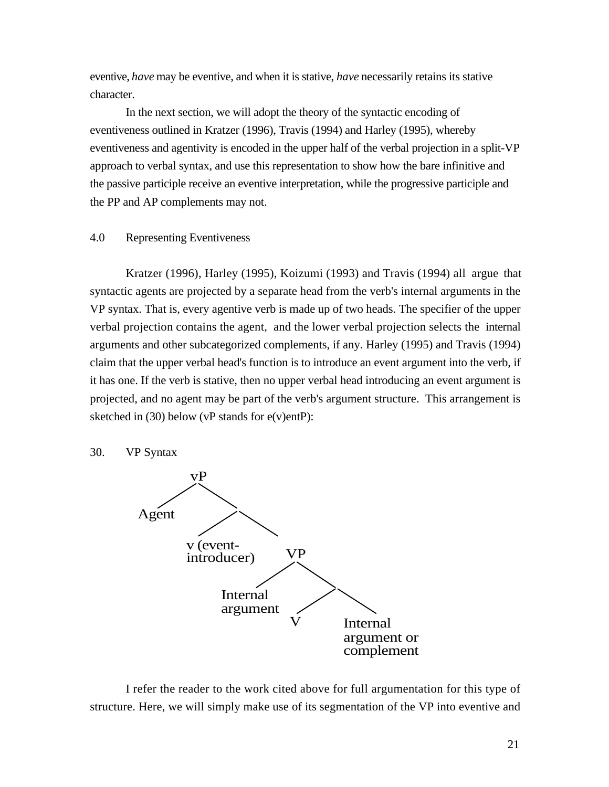eventive, *have* may be eventive, and when it is stative, *have* necessarily retains its stative character.

In the next section, we will adopt the theory of the syntactic encoding of eventiveness outlined in Kratzer (1996), Travis (1994) and Harley (1995), whereby eventiveness and agentivity is encoded in the upper half of the verbal projection in a split-VP approach to verbal syntax, and use this representation to show how the bare infinitive and the passive participle receive an eventive interpretation, while the progressive participle and the PP and AP complements may not.

#### 4.0 Representing Eventiveness

Kratzer (1996), Harley (1995), Koizumi (1993) and Travis (1994) all argue that syntactic agents are projected by a separate head from the verb's internal arguments in the VP syntax. That is, every agentive verb is made up of two heads. The specifier of the upper verbal projection contains the agent, and the lower verbal projection selects the internal arguments and other subcategorized complements, if any. Harley (1995) and Travis (1994) claim that the upper verbal head's function is to introduce an event argument into the verb, if it has one. If the verb is stative, then no upper verbal head introducing an event argument is projected, and no agent may be part of the verb's argument structure. This arrangement is sketched in (30) below (vP stands for e(v)entP):

#### 30. VP Syntax



I refer the reader to the work cited above for full argumentation for this type of structure. Here, we will simply make use of its segmentation of the VP into eventive and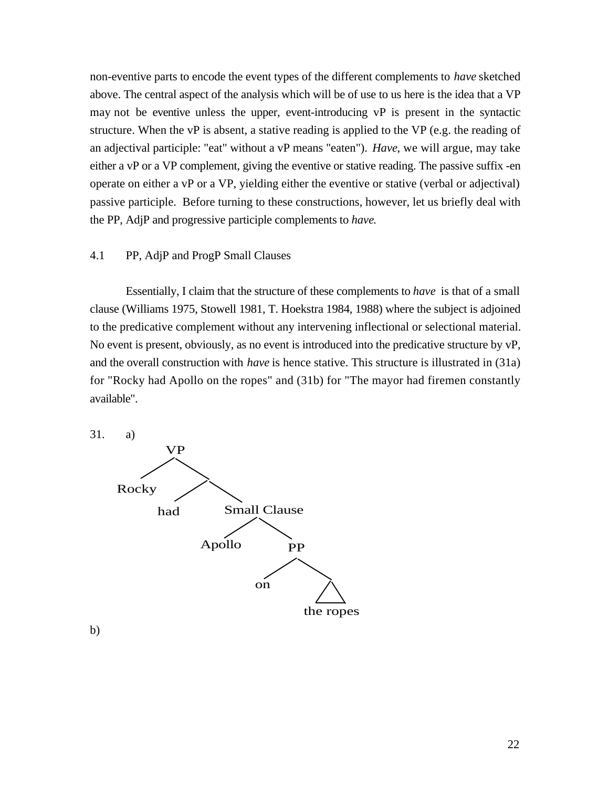non-eventive parts to encode the event types of the different complements to *have* sketched above. The central aspect of the analysis which will be of use to us here is the idea that a VP may not be eventive unless the upper, event-introducing vP is present in the syntactic structure. When the vP is absent, a stative reading is applied to the VP (e.g. the reading of an adjectival participle: "eat" without a vP means "eaten"). *Have*, we will argue, may take either a vP or a VP complement, giving the eventive or stative reading. The passive suffix -en operate on either a vP or a VP, yielding either the eventive or stative (verbal or adjectival) passive participle. Before turning to these constructions, however, let us briefly deal with the PP, AdjP and progressive participle complements to *have*.

#### 4.1 PP, AdjP and ProgP Small Clauses

Essentially, I claim that the structure of these complements to *have* is that of a small clause (Williams 1975, Stowell 1981, T. Hoekstra 1984, 1988) where the subject is adjoined to the predicative complement without any intervening inflectional or selectional material. No event is present, obviously, as no event is introduced into the predicative structure by vP, and the overall construction with *have* is hence stative. This structure is illustrated in (31a) for "Rocky had Apollo on the ropes" and (31b) for "The mayor had firemen constantly available".



b)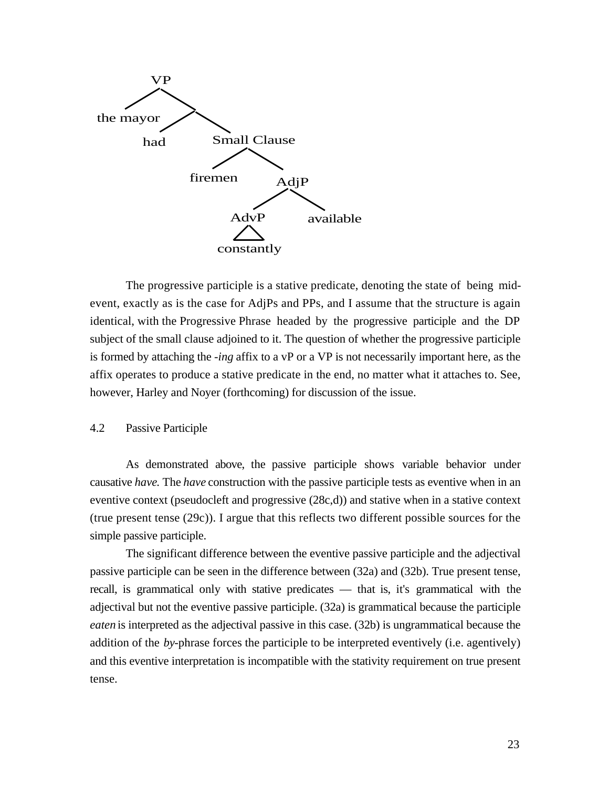

The progressive participle is a stative predicate, denoting the state of being midevent, exactly as is the case for AdjPs and PPs, and I assume that the structure is again identical, with the Progressive Phrase headed by the progressive participle and the DP subject of the small clause adjoined to it. The question of whether the progressive participle is formed by attaching the *-ing* affix to a vP or a VP is not necessarily important here, as the affix operates to produce a stative predicate in the end, no matter what it attaches to. See, however, Harley and Noyer (forthcoming) for discussion of the issue.

#### 4.2 Passive Participle

As demonstrated above, the passive participle shows variable behavior under causative *have*. The *have* construction with the passive participle tests as eventive when in an eventive context (pseudocleft and progressive (28c,d)) and stative when in a stative context (true present tense (29c)). I argue that this reflects two different possible sources for the simple passive participle.

The significant difference between the eventive passive participle and the adjectival passive participle can be seen in the difference between (32a) and (32b). True present tense, recall, is grammatical only with stative predicates — that is, it's grammatical with the adjectival but not the eventive passive participle. (32a) is grammatical because the participle *eaten* is interpreted as the adjectival passive in this case. (32b) is ungrammatical because the addition of the *by*-phrase forces the participle to be interpreted eventively (i.e. agentively) and this eventive interpretation is incompatible with the stativity requirement on true present tense.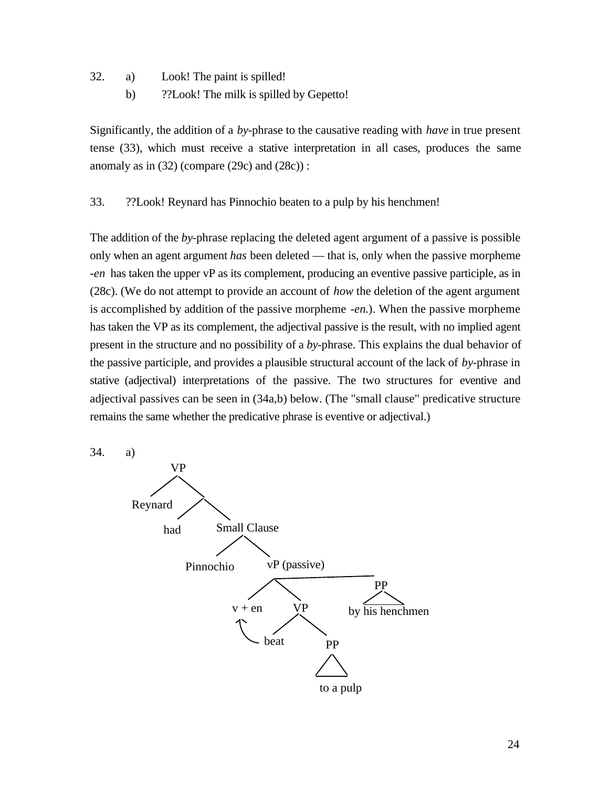- 32. a) Look! The paint is spilled!
	- b) ??Look! The milk is spilled by Gepetto!

Significantly, the addition of a *by*-phrase to the causative reading with *have* in true present tense (33), which must receive a stative interpretation in all cases, produces the same anomaly as in  $(32)$  (compare  $(29c)$  and  $(28c)$ ):

33. ??Look! Reynard has Pinnochio beaten to a pulp by his henchmen!

The addition of the *by*-phrase replacing the deleted agent argument of a passive is possible only when an agent argument *has* been deleted — that is, only when the passive morpheme *-en* has taken the upper vP as its complement, producing an eventive passive participle, as in (28c). (We do not attempt to provide an account of *how* the deletion of the agent argument is accomplished by addition of the passive morpheme *-en*.). When the passive morpheme has taken the VP as its complement, the adjectival passive is the result, with no implied agent present in the structure and no possibility of a *by*-phrase. This explains the dual behavior of the passive participle, and provides a plausible structural account of the lack of *by*-phrase in stative (adjectival) interpretations of the passive. The two structures for eventive and adjectival passives can be seen in (34a,b) below. (The "small clause" predicative structure remains the same whether the predicative phrase is eventive or adjectival.)

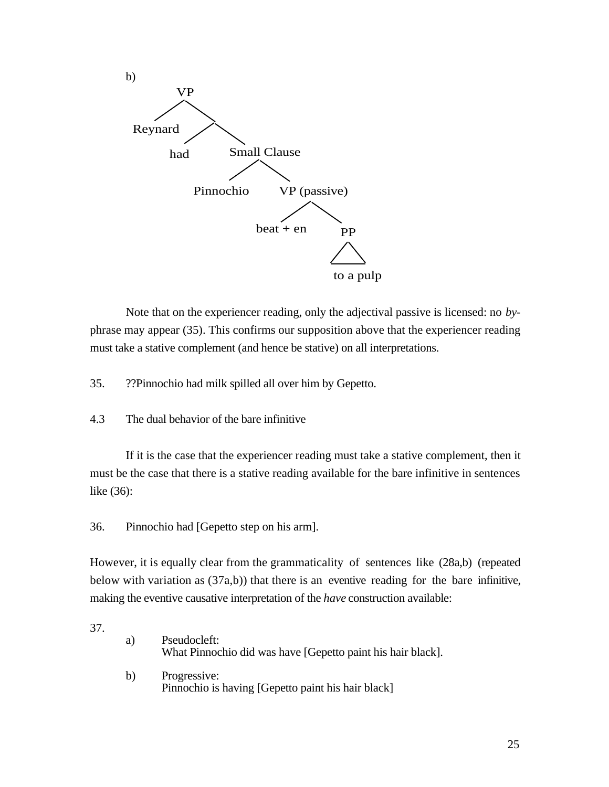

Note that on the experiencer reading, only the adjectival passive is licensed: no *by*phrase may appear (35). This confirms our supposition above that the experiencer reading must take a stative complement (and hence be stative) on all interpretations.

35. ??Pinnochio had milk spilled all over him by Gepetto.

#### 4.3 The dual behavior of the bare infinitive

If it is the case that the experiencer reading must take a stative complement, then it must be the case that there is a stative reading available for the bare infinitive in sentences like (36):

36. Pinnochio had [Gepetto step on his arm].

However, it is equally clear from the grammaticality of sentences like (28a,b) (repeated below with variation as (37a,b)) that there is an eventive reading for the bare infinitive, making the eventive causative interpretation of the *have* construction available:

37.

| a) | Pseudocleft:<br>What Pinnochio did was have [Gepetto paint his hair black]. |
|----|-----------------------------------------------------------------------------|
| b) | Progressive:<br>Pinnochio is having [Gepetto paint his hair black]          |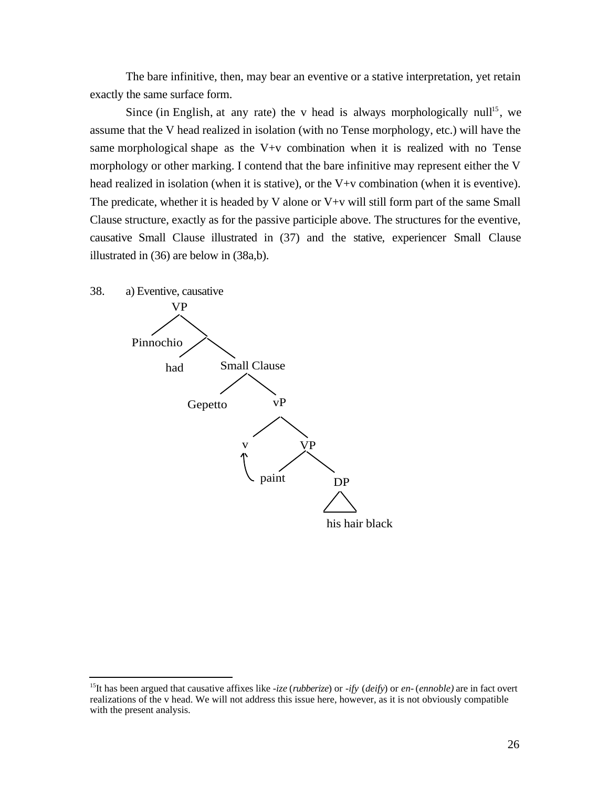The bare infinitive, then, may bear an eventive or a stative interpretation, yet retain exactly the same surface form.

Since (in English, at any rate) the v head is always morphologically null<sup>15</sup>, we assume that the V head realized in isolation (with no Tense morphology, etc.) will have the same morphological shape as the V+v combination when it is realized with no Tense morphology or other marking. I contend that the bare infinitive may represent either the V head realized in isolation (when it is stative), or the V+v combination (when it is eventive). The predicate, whether it is headed by V alone or  $V+v$  will still form part of the same Small Clause structure, exactly as for the passive participle above. The structures for the eventive, causative Small Clause illustrated in (37) and the stative, experiencer Small Clause illustrated in (36) are below in (38a,b).



l

<sup>15</sup>It has been argued that causative affixes like *-ize* (*rubberize*) or *-ify* (*deify*) or *en-* (*ennoble)* are in fact overt realizations of the v head. We will not address this issue here, however, as it is not obviously compatible with the present analysis.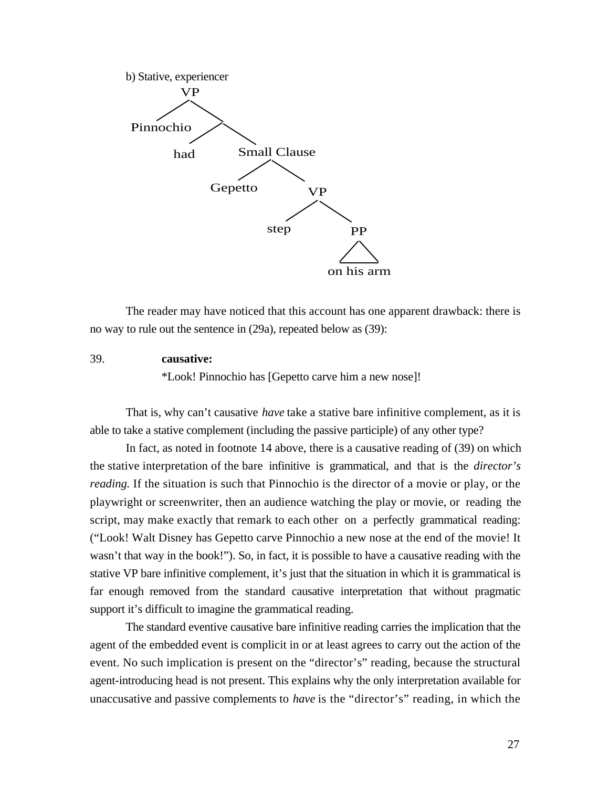

The reader may have noticed that this account has one apparent drawback: there is no way to rule out the sentence in (29a), repeated below as (39):

#### 39. **causative:**

\*Look! Pinnochio has [Gepetto carve him a new nose]!

That is, why can't causative *have* take a stative bare infinitive complement, as it is able to take a stative complement (including the passive participle) of any other type?

In fact, as noted in footnote 14 above, there is a causative reading of (39) on which the stative interpretation of the bare infinitive is grammatical, and that is the *director's reading*. If the situation is such that Pinnochio is the director of a movie or play, or the playwright or screenwriter, then an audience watching the play or movie, or reading the script, may make exactly that remark to each other on a perfectly grammatical reading: ("Look! Walt Disney has Gepetto carve Pinnochio a new nose at the end of the movie! It wasn't that way in the book!"). So, in fact, it is possible to have a causative reading with the stative VP bare infinitive complement, it's just that the situation in which it is grammatical is far enough removed from the standard causative interpretation that without pragmatic support it's difficult to imagine the grammatical reading.

The standard eventive causative bare infinitive reading carries the implication that the agent of the embedded event is complicit in or at least agrees to carry out the action of the event. No such implication is present on the "director's" reading, because the structural agent-introducing head is not present. This explains why the only interpretation available for unaccusative and passive complements to *have* is the "director's" reading, in which the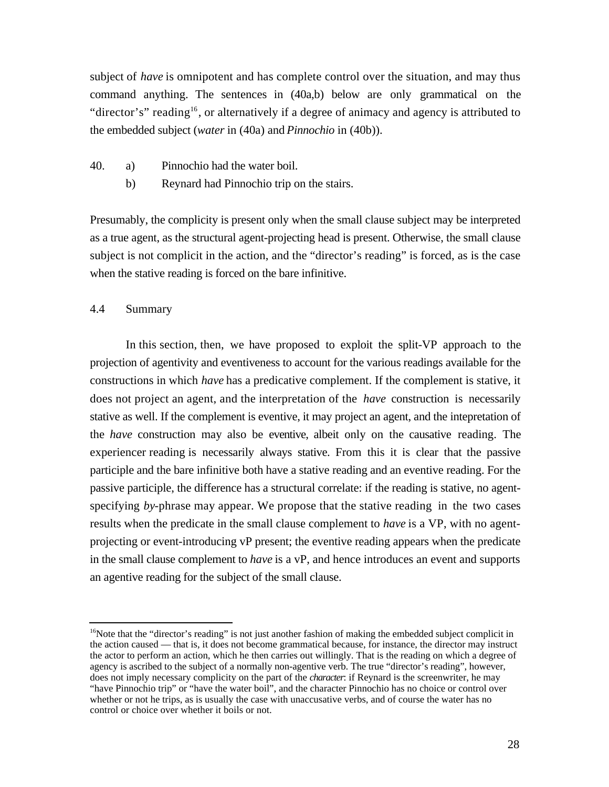subject of *have* is omnipotent and has complete control over the situation, and may thus command anything. The sentences in (40a,b) below are only grammatical on the "director's" reading<sup>16</sup>, or alternatively if a degree of animacy and agency is attributed to the embedded subject (*water* in (40a) and *Pinnochio* in (40b)).

- 40. a) Pinnochio had the water boil.
	- b) Reynard had Pinnochio trip on the stairs.

Presumably, the complicity is present only when the small clause subject may be interpreted as a true agent, as the structural agent-projecting head is present. Otherwise, the small clause subject is not complicit in the action, and the "director's reading" is forced, as is the case when the stative reading is forced on the bare infinitive.

## 4.4 Summary

l

In this section, then, we have proposed to exploit the split-VP approach to the projection of agentivity and eventiveness to account for the various readings available for the constructions in which *have* has a predicative complement. If the complement is stative, it does not project an agent, and the interpretation of the *have* construction is necessarily stative as well. If the complement is eventive, it may project an agent, and the intepretation of the *have* construction may also be eventive, albeit only on the causative reading. The experiencer reading is necessarily always stative. From this it is clear that the passive participle and the bare infinitive both have a stative reading and an eventive reading. For the passive participle, the difference has a structural correlate: if the reading is stative, no agentspecifying *by*-phrase may appear. We propose that the stative reading in the two cases results when the predicate in the small clause complement to *have* is a VP, with no agentprojecting or event-introducing vP present; the eventive reading appears when the predicate in the small clause complement to *have* is a vP, and hence introduces an event and supports an agentive reading for the subject of the small clause.

 $16$ Note that the "director's reading" is not just another fashion of making the embedded subject complicit in the action caused — that is, it does not become grammatical because, for instance, the director may instruct the actor to perform an action, which he then carries out willingly. That is the reading on which a degree of agency is ascribed to the subject of a normally non-agentive verb. The true "director's reading", however, does not imply necessary complicity on the part of the *character*: if Reynard is the screenwriter, he may "have Pinnochio trip" or "have the water boil", and the character Pinnochio has no choice or control over whether or not he trips, as is usually the case with unaccusative verbs, and of course the water has no control or choice over whether it boils or not.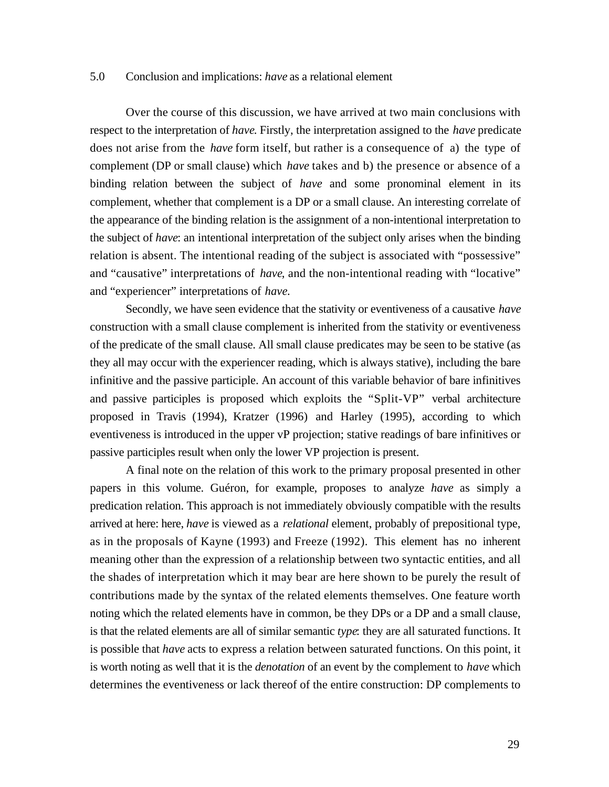#### 5.0 Conclusion and implications: *have* as a relational element

Over the course of this discussion, we have arrived at two main conclusions with respect to the interpretation of *have*. Firstly, the interpretation assigned to the *have* predicate does not arise from the *have* form itself, but rather is a consequence of a) the type of complement (DP or small clause) which *have* takes and b) the presence or absence of a binding relation between the subject of *have* and some pronominal element in its complement, whether that complement is a DP or a small clause. An interesting correlate of the appearance of the binding relation is the assignment of a non-intentional interpretation to the subject of *have*: an intentional interpretation of the subject only arises when the binding relation is absent. The intentional reading of the subject is associated with "possessive" and "causative" interpretations of *have*, and the non-intentional reading with "locative" and "experiencer" interpretations of *have.*

Secondly, we have seen evidence that the stativity or eventiveness of a causative *have* construction with a small clause complement is inherited from the stativity or eventiveness of the predicate of the small clause. All small clause predicates may be seen to be stative (as they all may occur with the experiencer reading, which is always stative), including the bare infinitive and the passive participle. An account of this variable behavior of bare infinitives and passive participles is proposed which exploits the "Split-VP" verbal architecture proposed in Travis (1994), Kratzer (1996) and Harley (1995), according to which eventiveness is introduced in the upper vP projection; stative readings of bare infinitives or passive participles result when only the lower VP projection is present.

A final note on the relation of this work to the primary proposal presented in other papers in this volume. Guéron, for example, proposes to analyze *have* as simply a predication relation. This approach is not immediately obviously compatible with the results arrived at here: here, *have* is viewed as a *relational* element, probably of prepositional type, as in the proposals of Kayne (1993) and Freeze (1992). This element has no inherent meaning other than the expression of a relationship between two syntactic entities, and all the shades of interpretation which it may bear are here shown to be purely the result of contributions made by the syntax of the related elements themselves. One feature worth noting which the related elements have in common, be they DPs or a DP and a small clause, is that the related elements are all of similar semantic *type*: they are all saturated functions. It is possible that *have* acts to express a relation between saturated functions. On this point, it is worth noting as well that it is the *denotation* of an event by the complement to *have* which determines the eventiveness or lack thereof of the entire construction: DP complements to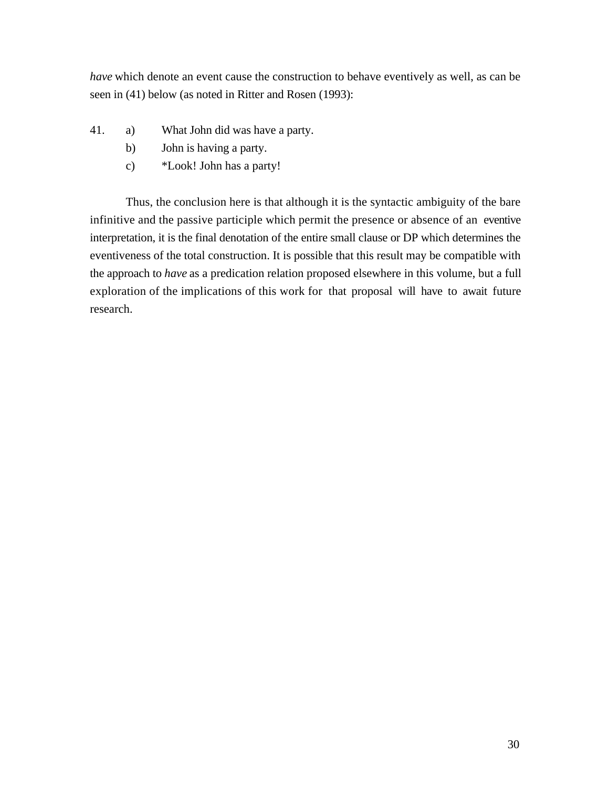*have* which denote an event cause the construction to behave eventively as well, as can be seen in (41) below (as noted in Ritter and Rosen (1993):

- 41. a) What John did was have a party.
	- b) John is having a party.
	- c) \*Look! John has a party!

Thus, the conclusion here is that although it is the syntactic ambiguity of the bare infinitive and the passive participle which permit the presence or absence of an eventive interpretation, it is the final denotation of the entire small clause or DP which determines the eventiveness of the total construction. It is possible that this result may be compatible with the approach to *have* as a predication relation proposed elsewhere in this volume, but a full exploration of the implications of this work for that proposal will have to await future research.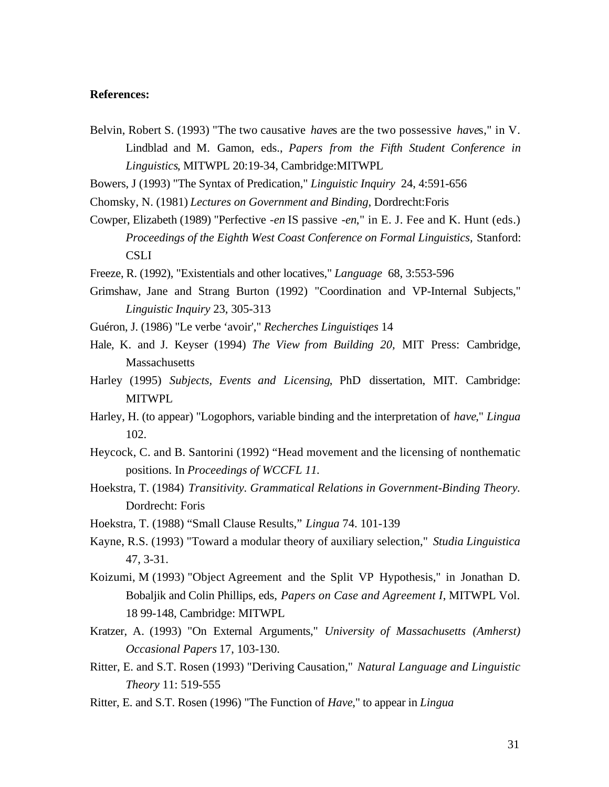#### **References:**

Belvin, Robert S. (1993) "The two causative *have*s are the two possessive *have*s," in V. Lindblad and M. Gamon, eds., *Papers from the Fifth Student Conference in Linguistics*, MITWPL 20:19-34, Cambridge:MITWPL

Bowers, J (1993) "The Syntax of Predication," *Linguistic Inquiry* 24, 4:591-656

Chomsky, N. (1981) *Lectures on Government and Binding*, Dordrecht:Foris

- Cowper, Elizabeth (1989) "Perfective *-en* IS passive *-en*," in E. J. Fee and K. Hunt (eds.) *Proceedings of the Eighth West Coast Conference on Formal Linguistics,* Stanford: **CSLI**
- Freeze, R. (1992), "Existentials and other locatives," *Language* 68, 3:553-596
- Grimshaw, Jane and Strang Burton (1992) "Coordination and VP-Internal Subjects," *Linguistic Inquiry* 23, 305-313
- Guéron, J. (1986) "Le verbe 'avoir'," *Recherches Linguistiqes* 14
- Hale, K. and J. Keyser (1994) *The View from Building 20,* MIT Press: Cambridge, **Massachusetts**
- Harley (1995) *Subjects, Events and Licensing*, PhD dissertation, MIT. Cambridge: MITWPL
- Harley, H. (to appear) "Logophors, variable binding and the interpretation of *have*," *Lingua* 102.
- Heycock, C. and B. Santorini (1992) "Head movement and the licensing of nonthematic positions. In *Proceedings of WCCFL 11*.
- Hoekstra, T. (1984) *Transitivity. Grammatical Relations in Government-Binding Theory.* Dordrecht: Foris
- Hoekstra, T. (1988) "Small Clause Results," *Lingua* 74. 101-139
- Kayne, R.S. (1993) "Toward a modular theory of auxiliary selection," *Studia Linguistica* 47, 3-31.
- Koizumi, M (1993) "Object Agreement and the Split VP Hypothesis," in Jonathan D. Bobaljik and Colin Phillips, eds, *Papers on Case and Agreement I*, MITWPL Vol. 18 99-148, Cambridge: MITWPL
- Kratzer, A. (1993) "On External Arguments," *University of Massachusetts (Amherst) Occasional Papers* 17, 103-130.
- Ritter, E. and S.T. Rosen (1993) "Deriving Causation," *Natural Language and Linguistic Theory* 11: 519-555
- Ritter, E. and S.T. Rosen (1996) "The Function of *Have*," to appear in *Lingua*